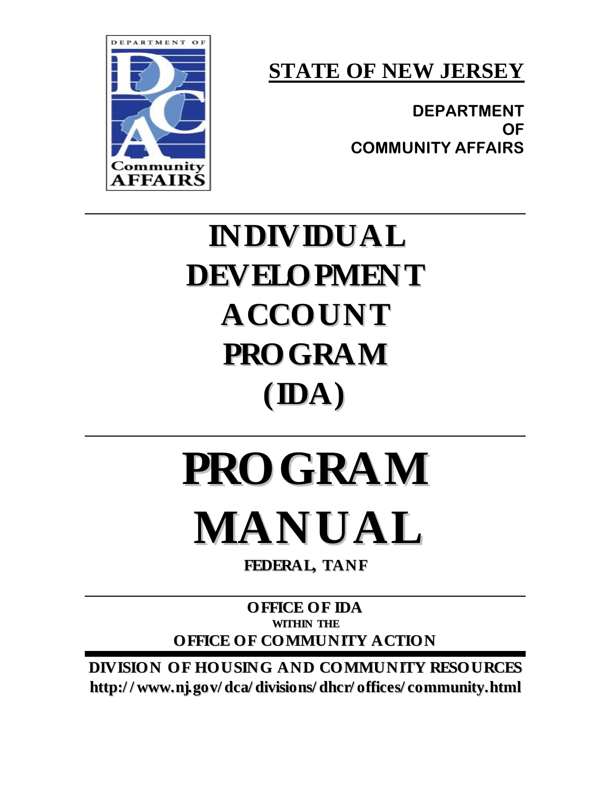**STATE OF NEW JERSEY**

**DEPARTMENT OF COMMUNITY AFFAIRS** 



## **INDIVIDUAL DEVELOPMENT ACCOUNT PROGRAM (IDA)**

# **PROGRAM MANUAL**

**FEDERAL, TANF**

**OFFICE OF IDA WITHIN THE OFFICE OF COMMUNITY ACTION**

**DIVISION OF HOUSING AND COMMUNITY RESOURCES http:/ / www.nj.gov/ dca/ divisions/ dhcr/ offices/ community.html**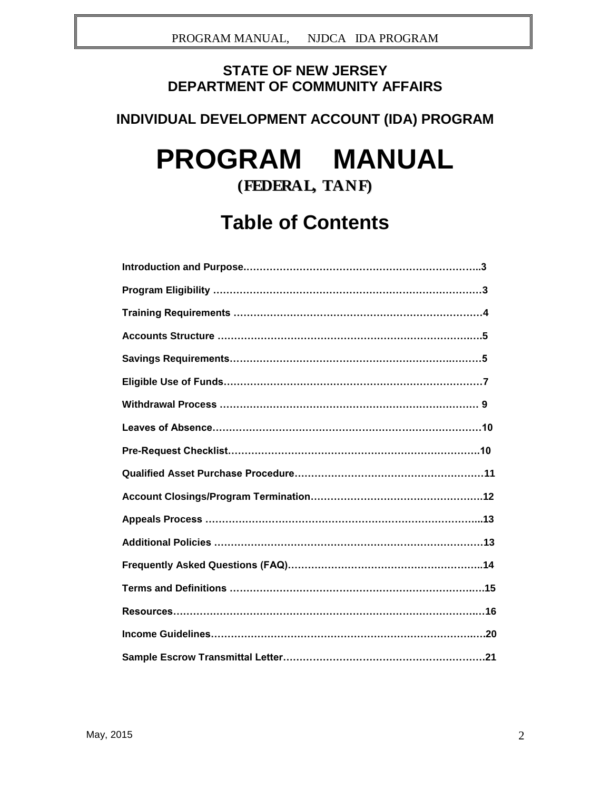#### **STATE OF NEW JERSEY DEPARTMENT OF COMMUNITY AFFAIRS**

#### **INDIVIDUAL DEVELOPMENT ACCOUNT (IDA) PROGRAM**

## **PROGRAM MANUAL**

### **(FEDERAL, TANF)**

## **Table of Contents**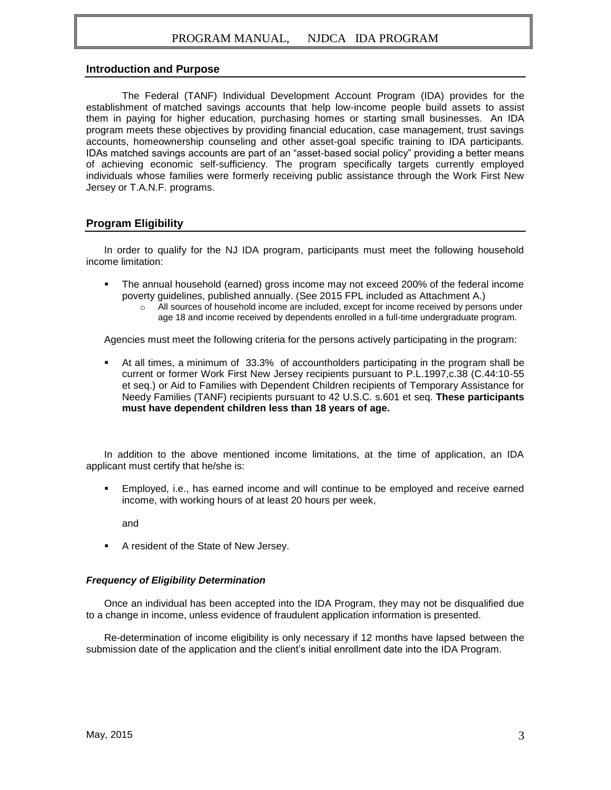#### **Introduction and Purpose**

The Federal (TANF) Individual Development Account Program (IDA) provides for the establishment of matched savings accounts that help low-income people build assets to assist them in paying for higher education, purchasing homes or starting small businesses. An IDA program meets these objectives by providing financial education, case management, trust savings accounts, homeownership counseling and other asset-goal specific training to IDA participants. IDAs matched savings accounts are part of an "asset-based social policy" providing a better means of achieving economic self-sufficiency. The program specifically targets currently employed individuals whose families were formerly receiving public assistance through the Work First New Jersey or T.A.N.F. programs.

#### **Program Eligibility**

In order to qualify for the NJ IDA program, participants must meet the following household income limitation:

- The annual household (earned) gross income may not exceed 200% of the federal income poverty guidelines, published annually. (See 2015 FPL included as Attachment A.)
	- o All sources of household income are included, except for income received by persons under age 18 and income received by dependents enrolled in a full-time undergraduate program.

Agencies must meet the following criteria for the persons actively participating in the program:

 At all times, a minimum of 33.3% of accountholders participating in the program shall be current or former Work First New Jersey recipients pursuant to P.L.1997,c.38 (C.44:10-55 et seq.) or Aid to Families with Dependent Children recipients of Temporary Assistance for Needy Families (TANF) recipients pursuant to 42 U.S.C. s.601 et seq. **These participants must have dependent children less than 18 years of age.**

In addition to the above mentioned income limitations, at the time of application, an IDA applicant must certify that he/she is:

 Employed, i.e., has earned income and will continue to be employed and receive earned income, with working hours of at least 20 hours per week,

and

A resident of the State of New Jersey.

#### *Frequency of Eligibility Determination*

Once an individual has been accepted into the IDA Program, they may not be disqualified due to a change in income, unless evidence of fraudulent application information is presented.

Re-determination of income eligibility is only necessary if 12 months have lapsed between the submission date of the application and the client's initial enrollment date into the IDA Program.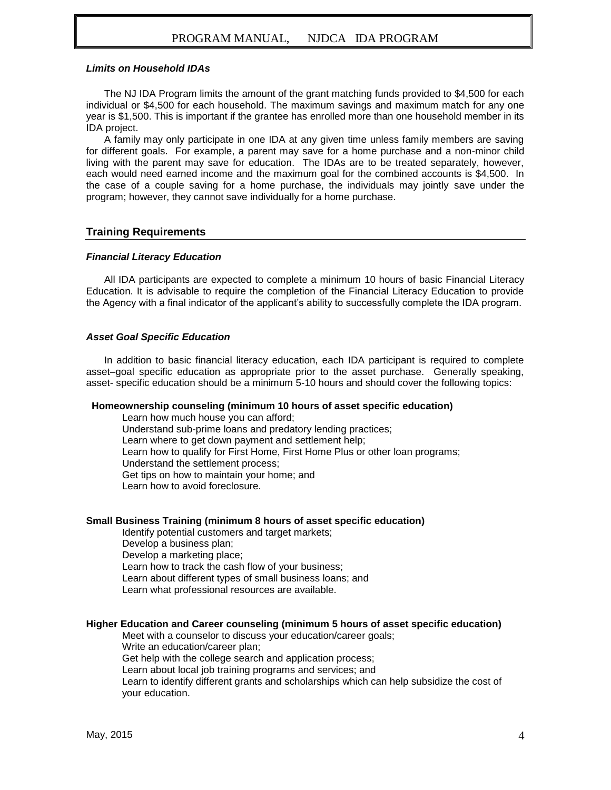#### *Limits on Household IDAs*

The NJ IDA Program limits the amount of the grant matching funds provided to \$4,500 for each individual or \$4,500 for each household. The maximum savings and maximum match for any one year is \$1,500. This is important if the grantee has enrolled more than one household member in its IDA project.

A family may only participate in one IDA at any given time unless family members are saving for different goals. For example, a parent may save for a home purchase and a non-minor child living with the parent may save for education. The IDAs are to be treated separately, however, each would need earned income and the maximum goal for the combined accounts is \$4,500. In the case of a couple saving for a home purchase, the individuals may jointly save under the program; however, they cannot save individually for a home purchase.

#### **Training Requirements**

#### *Financial Literacy Education*

All IDA participants are expected to complete a minimum 10 hours of basic Financial Literacy Education. It is advisable to require the completion of the Financial Literacy Education to provide the Agency with a final indicator of the applicant's ability to successfully complete the IDA program.

#### *Asset Goal Specific Education*

In addition to basic financial literacy education, each IDA participant is required to complete asset–goal specific education as appropriate prior to the asset purchase. Generally speaking, asset- specific education should be a minimum 5-10 hours and should cover the following topics:

#### **Homeownership counseling (minimum 10 hours of asset specific education)**

Learn how much house you can afford; Understand sub-prime loans and predatory lending practices; Learn where to get down payment and settlement help; Learn how to qualify for First Home, First Home Plus or other loan programs; Understand the settlement process; Get tips on how to maintain your home; and Learn how to avoid foreclosure.

#### **Small Business Training (minimum 8 hours of asset specific education)**

Identify potential customers and target markets; Develop a business plan; Develop a marketing place; Learn how to track the cash flow of your business; Learn about different types of small business loans; and Learn what professional resources are available.

#### **Higher Education and Career counseling (minimum 5 hours of asset specific education)**

Meet with a counselor to discuss your education/career goals;

Write an education/career plan;

Get help with the college search and application process;

Learn about local job training programs and services; and

Learn to identify different grants and scholarships which can help subsidize the cost of your education.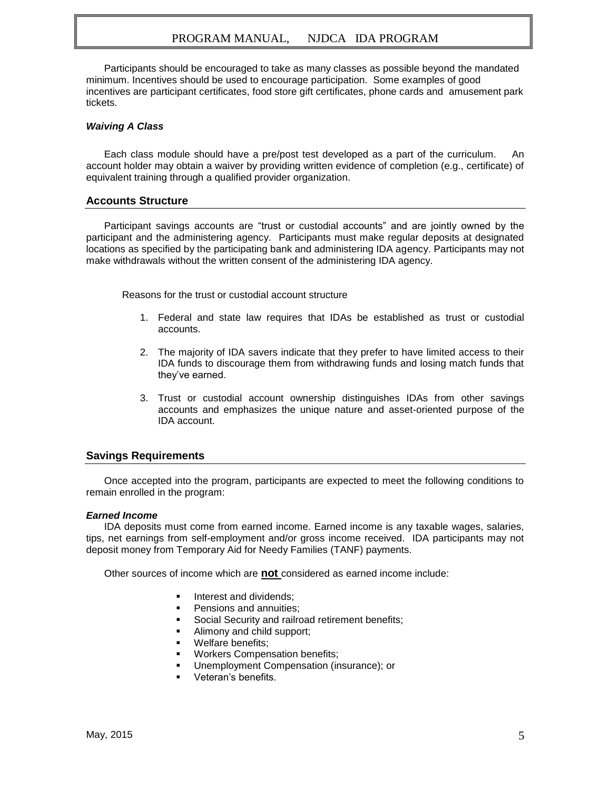Participants should be encouraged to take as many classes as possible beyond the mandated minimum. Incentives should be used to encourage participation. Some examples of good incentives are participant certificates, food store gift certificates, phone cards and amusement park tickets.

#### *Waiving A Class*

Each class module should have a pre/post test developed as a part of the curriculum. An account holder may obtain a waiver by providing written evidence of completion (e.g., certificate) of equivalent training through a qualified provider organization.

#### **Accounts Structure**

Participant savings accounts are "trust or custodial accounts" and are jointly owned by the participant and the administering agency. Participants must make regular deposits at designated locations as specified by the participating bank and administering IDA agency. Participants may not make withdrawals without the written consent of the administering IDA agency.

Reasons for the trust or custodial account structure

- 1. Federal and state law requires that IDAs be established as trust or custodial accounts.
- 2. The majority of IDA savers indicate that they prefer to have limited access to their IDA funds to discourage them from withdrawing funds and losing match funds that they've earned.
- 3. Trust or custodial account ownership distinguishes IDAs from other savings accounts and emphasizes the unique nature and asset-oriented purpose of the IDA account.

#### **Savings Requirements**

Once accepted into the program, participants are expected to meet the following conditions to remain enrolled in the program:

#### *Earned Income*

IDA deposits must come from earned income. Earned income is any taxable wages, salaries, tips, net earnings from self-employment and/or gross income received. IDA participants may not deposit money from Temporary Aid for Needy Families (TANF) payments.

Other sources of income which are **not** considered as earned income include:

- Interest and dividends;
- Pensions and annuities;
- Social Security and railroad retirement benefits;
- Alimony and child support;
- Welfare benefits;
- Workers Compensation benefits;
- Unemployment Compensation (insurance); or
- Veteran's benefits.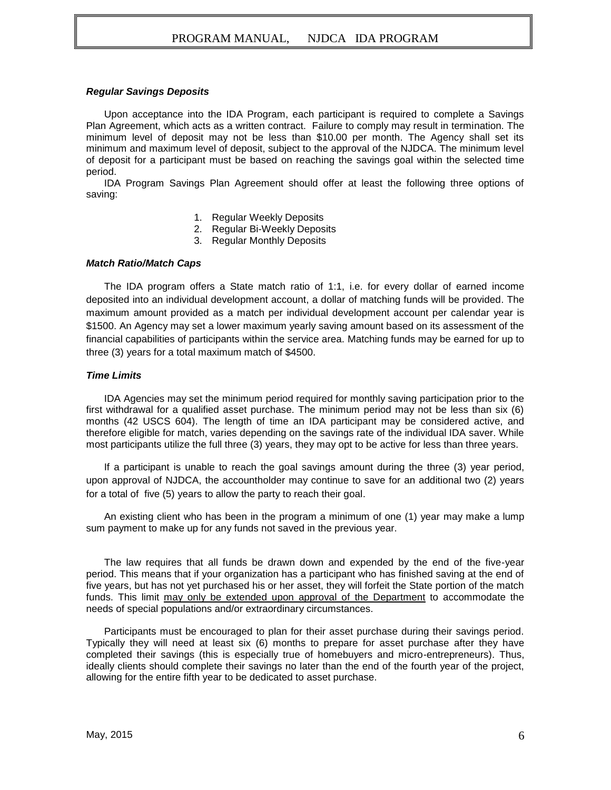#### *Regular Savings Deposits*

Upon acceptance into the IDA Program, each participant is required to complete a Savings Plan Agreement, which acts as a written contract. Failure to comply may result in termination. The minimum level of deposit may not be less than \$10.00 per month. The Agency shall set its minimum and maximum level of deposit, subject to the approval of the NJDCA. The minimum level of deposit for a participant must be based on reaching the savings goal within the selected time period.

IDA Program Savings Plan Agreement should offer at least the following three options of saving:

- 1. Regular Weekly Deposits
- 2. Regular Bi-Weekly Deposits
- 3. Regular Monthly Deposits

#### *Match Ratio/Match Caps*

The IDA program offers a State match ratio of 1:1, i.e. for every dollar of earned income deposited into an individual development account, a dollar of matching funds will be provided. The maximum amount provided as a match per individual development account per calendar year is \$1500. An Agency may set a lower maximum yearly saving amount based on its assessment of the financial capabilities of participants within the service area. Matching funds may be earned for up to three (3) years for a total maximum match of \$4500.

#### *Time Limits*

IDA Agencies may set the minimum period required for monthly saving participation prior to the first withdrawal for a qualified asset purchase. The minimum period may not be less than six (6) months (42 USCS 604). The length of time an IDA participant may be considered active, and therefore eligible for match, varies depending on the savings rate of the individual IDA saver. While most participants utilize the full three (3) years, they may opt to be active for less than three years.

If a participant is unable to reach the goal savings amount during the three (3) year period, upon approval of NJDCA, the accountholder may continue to save for an additional two (2) years for a total of five (5) years to allow the party to reach their goal.

An existing client who has been in the program a minimum of one (1) year may make a lump sum payment to make up for any funds not saved in the previous year.

The law requires that all funds be drawn down and expended by the end of the five-year period. This means that if your organization has a participant who has finished saving at the end of five years, but has not yet purchased his or her asset, they will forfeit the State portion of the match funds. This limit may only be extended upon approval of the Department to accommodate the needs of special populations and/or extraordinary circumstances.

Participants must be encouraged to plan for their asset purchase during their savings period. Typically they will need at least six (6) months to prepare for asset purchase after they have completed their savings (this is especially true of homebuyers and micro-entrepreneurs). Thus, ideally clients should complete their savings no later than the end of the fourth year of the project, allowing for the entire fifth year to be dedicated to asset purchase.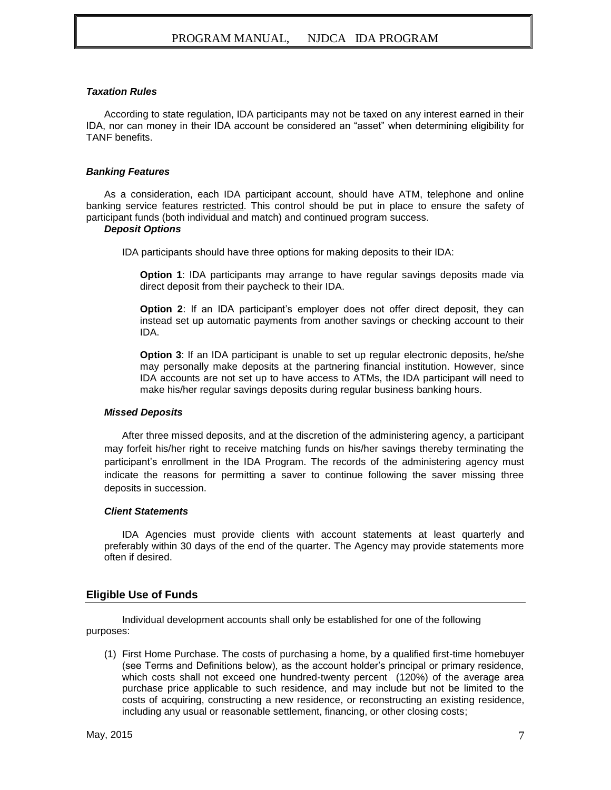#### *Taxation Rules*

According to state regulation, IDA participants may not be taxed on any interest earned in their IDA, nor can money in their IDA account be considered an "asset" when determining eligibility for TANF benefits.

#### *Banking Features*

As a consideration, each IDA participant account, should have ATM, telephone and online banking service features restricted. This control should be put in place to ensure the safety of participant funds (both individual and match) and continued program success.

#### *Deposit Options*

IDA participants should have three options for making deposits to their IDA:

**Option 1**: IDA participants may arrange to have regular savings deposits made via direct deposit from their paycheck to their IDA.

**Option 2**: If an IDA participant's employer does not offer direct deposit, they can instead set up automatic payments from another savings or checking account to their IDA.

**Option 3:** If an IDA participant is unable to set up regular electronic deposits, he/she may personally make deposits at the partnering financial institution. However, since IDA accounts are not set up to have access to ATMs, the IDA participant will need to make his/her regular savings deposits during regular business banking hours.

#### *Missed Deposits*

After three missed deposits, and at the discretion of the administering agency, a participant may forfeit his/her right to receive matching funds on his/her savings thereby terminating the participant's enrollment in the IDA Program. The records of the administering agency must indicate the reasons for permitting a saver to continue following the saver missing three deposits in succession.

#### *Client Statements*

IDA Agencies must provide clients with account statements at least quarterly and preferably within 30 days of the end of the quarter. The Agency may provide statements more often if desired.

#### **Eligible Use of Funds**

Individual development accounts shall only be established for one of the following purposes:

(1) First Home Purchase. The costs of purchasing a home, by a qualified first-time homebuyer (see Terms and Definitions below), as the account holder's principal or primary residence, which costs shall not exceed one hundred-twenty percent (120%) of the average area purchase price applicable to such residence, and may include but not be limited to the costs of acquiring, constructing a new residence, or reconstructing an existing residence, including any usual or reasonable settlement, financing, or other closing costs;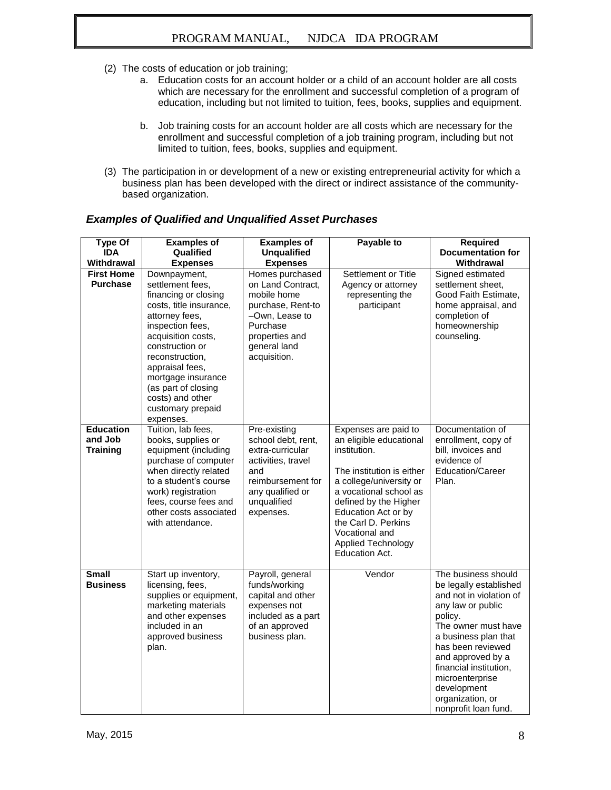- (2) The costs of education or job training;
	- a. Education costs for an account holder or a child of an account holder are all costs which are necessary for the enrollment and successful completion of a program of education, including but not limited to tuition, fees, books, supplies and equipment.
	- b. Job training costs for an account holder are all costs which are necessary for the enrollment and successful completion of a job training program, including but not limited to tuition, fees, books, supplies and equipment.
- (3) The participation in or development of a new or existing entrepreneurial activity for which a business plan has been developed with the direct or indirect assistance of the communitybased organization.

| <b>Type Of</b><br><b>IDA</b><br>Withdrawal     | <b>Examples of</b><br>Qualified<br><b>Expenses</b>                                                                                                                                                                                                                                                          | <b>Examples of</b><br><b>Unqualified</b><br><b>Expenses</b>                                                                                              | Payable to                                                                                                                                                                                                                                                                         | <b>Required</b><br><b>Documentation for</b><br>Withdrawal                                                                                                                                                                                                                                                 |
|------------------------------------------------|-------------------------------------------------------------------------------------------------------------------------------------------------------------------------------------------------------------------------------------------------------------------------------------------------------------|----------------------------------------------------------------------------------------------------------------------------------------------------------|------------------------------------------------------------------------------------------------------------------------------------------------------------------------------------------------------------------------------------------------------------------------------------|-----------------------------------------------------------------------------------------------------------------------------------------------------------------------------------------------------------------------------------------------------------------------------------------------------------|
| <b>First Home</b><br><b>Purchase</b>           | Downpayment,<br>settlement fees,<br>financing or closing<br>costs, title insurance,<br>attorney fees,<br>inspection fees,<br>acquisition costs,<br>construction or<br>reconstruction,<br>appraisal fees,<br>mortgage insurance<br>(as part of closing<br>costs) and other<br>customary prepaid<br>expenses. | Homes purchased<br>on Land Contract,<br>mobile home<br>purchase, Rent-to<br>-Own, Lease to<br>Purchase<br>properties and<br>general land<br>acquisition. | Settlement or Title<br>Agency or attorney<br>representing the<br>participant                                                                                                                                                                                                       | Signed estimated<br>settlement sheet.<br>Good Faith Estimate,<br>home appraisal, and<br>completion of<br>homeownership<br>counseling.                                                                                                                                                                     |
| <b>Education</b><br>and Job<br><b>Training</b> | Tuition, lab fees,<br>books, supplies or<br>equipment (including<br>purchase of computer<br>when directly related<br>to a student's course<br>work) registration<br>fees, course fees and<br>other costs associated<br>with attendance.                                                                     | Pre-existing<br>school debt, rent,<br>extra-curricular<br>activities, travel<br>and<br>reimbursement for<br>any qualified or<br>unqualified<br>expenses. | Expenses are paid to<br>an eligible educational<br>institution.<br>The institution is either<br>a college/university or<br>a vocational school as<br>defined by the Higher<br>Education Act or by<br>the Carl D. Perkins<br>Vocational and<br>Applied Technology<br>Education Act. | Documentation of<br>enrollment, copy of<br>bill, invoices and<br>evidence of<br>Education/Career<br>Plan.                                                                                                                                                                                                 |
| <b>Small</b><br><b>Business</b>                | Start up inventory,<br>licensing, fees,<br>supplies or equipment,<br>marketing materials<br>and other expenses<br>included in an<br>approved business<br>plan.                                                                                                                                              | Payroll, general<br>funds/working<br>capital and other<br>expenses not<br>included as a part<br>of an approved<br>business plan.                         | Vendor                                                                                                                                                                                                                                                                             | The business should<br>be legally established<br>and not in violation of<br>any law or public<br>policy.<br>The owner must have<br>a business plan that<br>has been reviewed<br>and approved by a<br>financial institution,<br>microenterprise<br>development<br>organization, or<br>nonprofit loan fund. |

#### *Examples of Qualified and Unqualified Asset Purchases*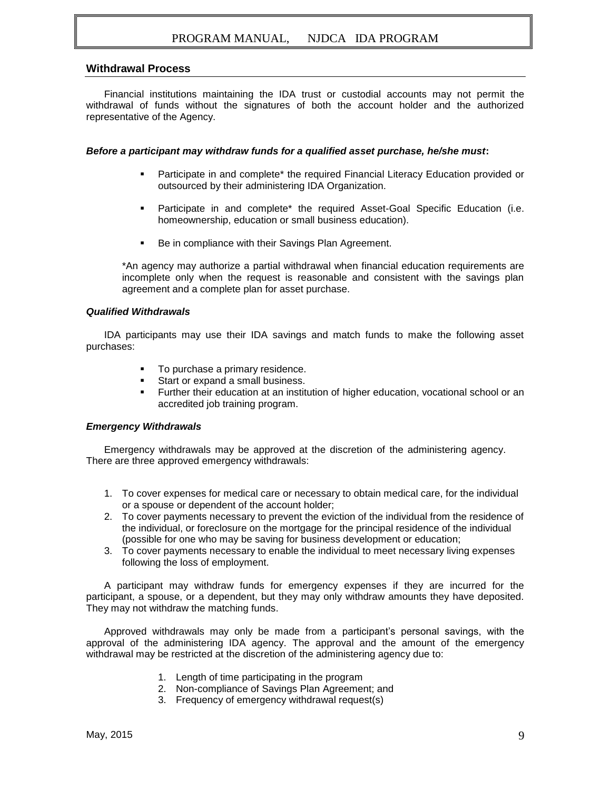#### **Withdrawal Process**

Financial institutions maintaining the IDA trust or custodial accounts may not permit the withdrawal of funds without the signatures of both the account holder and the authorized representative of the Agency.

#### *Before a participant may withdraw funds for a qualified asset purchase, he/she must***:**

- **Participate in and complete\* the required Financial Literacy Education provided or** outsourced by their administering IDA Organization.
- **Participate in and complete\* the required Asset-Goal Specific Education (i.e.** homeownership, education or small business education).
- Be in compliance with their Savings Plan Agreement.

\*An agency may authorize a partial withdrawal when financial education requirements are incomplete only when the request is reasonable and consistent with the savings plan agreement and a complete plan for asset purchase.

#### *Qualified Withdrawals*

IDA participants may use their IDA savings and match funds to make the following asset purchases:

- To purchase a primary residence.
- Start or expand a small business.
- Further their education at an institution of higher education, vocational school or an accredited job training program.

#### *Emergency Withdrawals*

Emergency withdrawals may be approved at the discretion of the administering agency. There are three approved emergency withdrawals:

- 1. To cover expenses for medical care or necessary to obtain medical care, for the individual or a spouse or dependent of the account holder;
- 2. To cover payments necessary to prevent the eviction of the individual from the residence of the individual, or foreclosure on the mortgage for the principal residence of the individual (possible for one who may be saving for business development or education;
- 3. To cover payments necessary to enable the individual to meet necessary living expenses following the loss of employment.

A participant may withdraw funds for emergency expenses if they are incurred for the participant, a spouse, or a dependent, but they may only withdraw amounts they have deposited. They may not withdraw the matching funds.

Approved withdrawals may only be made from a participant's personal savings, with the approval of the administering IDA agency. The approval and the amount of the emergency withdrawal may be restricted at the discretion of the administering agency due to:

- 1. Length of time participating in the program
- 2. Non-compliance of Savings Plan Agreement; and
- 3. Frequency of emergency withdrawal request(s)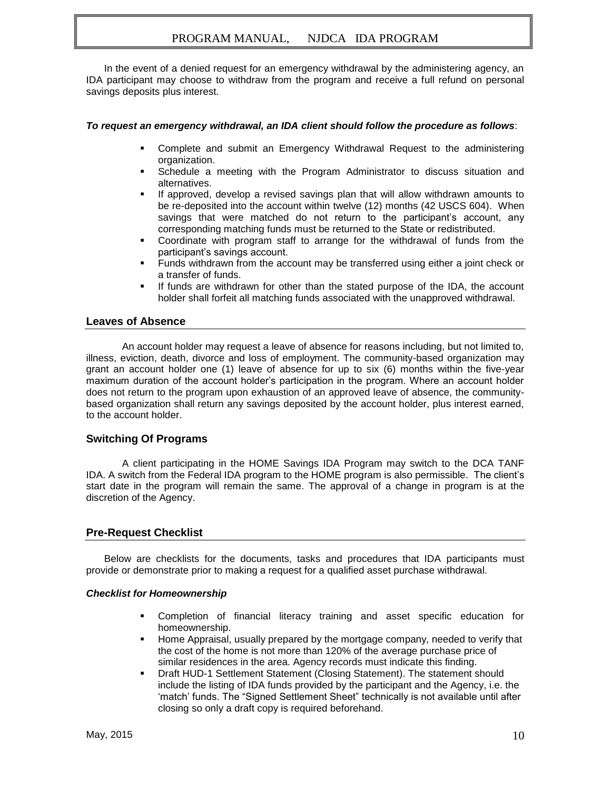In the event of a denied request for an emergency withdrawal by the administering agency, an IDA participant may choose to withdraw from the program and receive a full refund on personal savings deposits plus interest.

#### *To request an emergency withdrawal, an IDA client should follow the procedure as follows*:

- Complete and submit an Emergency Withdrawal Request to the administering organization.
- Schedule a meeting with the Program Administrator to discuss situation and alternatives.
- If approved, develop a revised savings plan that will allow withdrawn amounts to be re-deposited into the account within twelve (12) months (42 USCS 604). When savings that were matched do not return to the participant's account, any corresponding matching funds must be returned to the State or redistributed.
- Coordinate with program staff to arrange for the withdrawal of funds from the participant's savings account.
- Funds withdrawn from the account may be transferred using either a joint check or a transfer of funds.
- If funds are withdrawn for other than the stated purpose of the IDA, the account holder shall forfeit all matching funds associated with the unapproved withdrawal.

#### **Leaves of Absence**

An account holder may request a leave of absence for reasons including, but not limited to, illness, eviction, death, divorce and loss of employment. The community-based organization may grant an account holder one (1) leave of absence for up to six (6) months within the five-year maximum duration of the account holder's participation in the program. Where an account holder does not return to the program upon exhaustion of an approved leave of absence, the communitybased organization shall return any savings deposited by the account holder, plus interest earned, to the account holder.

#### **Switching Of Programs**

A client participating in the HOME Savings IDA Program may switch to the DCA TANF IDA. A switch from the Federal IDA program to the HOME program is also permissible. The client's start date in the program will remain the same. The approval of a change in program is at the discretion of the Agency.

#### **Pre-Request Checklist**

Below are checklists for the documents, tasks and procedures that IDA participants must provide or demonstrate prior to making a request for a qualified asset purchase withdrawal.

#### *Checklist for Homeownership*

- Completion of financial literacy training and asset specific education for homeownership.
- Home Appraisal, usually prepared by the mortgage company, needed to verify that the cost of the home is not more than 120% of the average purchase price of similar residences in the area. Agency records must indicate this finding.
- Draft HUD-1 Settlement Statement (Closing Statement). The statement should include the listing of IDA funds provided by the participant and the Agency, i.e. the 'match' funds. The "Signed Settlement Sheet" technically is not available until after closing so only a draft copy is required beforehand.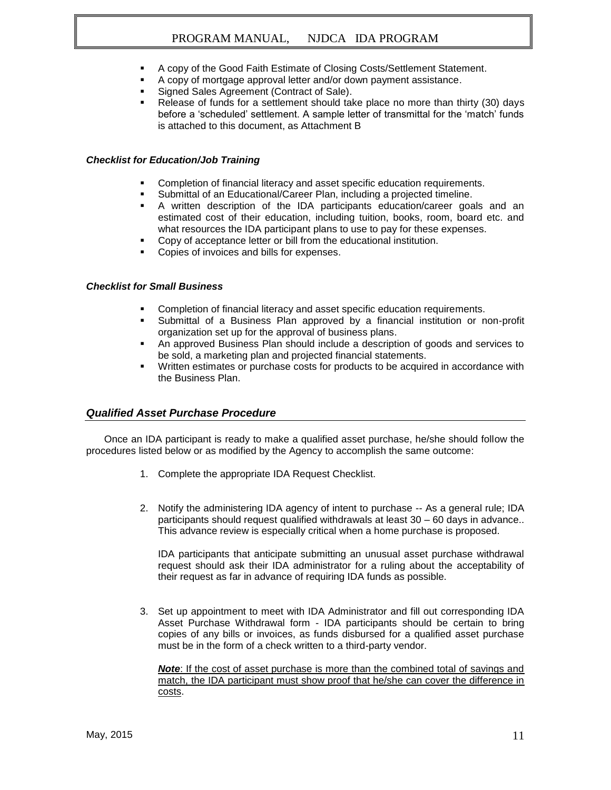- A copy of the Good Faith Estimate of Closing Costs/Settlement Statement.
- A copy of mortgage approval letter and/or down payment assistance.
- **Signed Sales Agreement (Contract of Sale).**
- Release of funds for a settlement should take place no more than thirty (30) days before a 'scheduled' settlement. A sample letter of transmittal for the 'match' funds is attached to this document, as Attachment B

#### *Checklist for Education/Job Training*

- **Completion of financial literacy and asset specific education requirements.**
- Submittal of an Educational/Career Plan, including a projected timeline.
- A written description of the IDA participants education/career goals and an estimated cost of their education, including tuition, books, room, board etc. and what resources the IDA participant plans to use to pay for these expenses.
- **Copy of acceptance letter or bill from the educational institution.**
- Copies of invoices and bills for expenses.

#### *Checklist for Small Business*

- Completion of financial literacy and asset specific education requirements.
- Submittal of a Business Plan approved by a financial institution or non-profit organization set up for the approval of business plans.
- An approved Business Plan should include a description of goods and services to be sold, a marketing plan and projected financial statements.
- Written estimates or purchase costs for products to be acquired in accordance with the Business Plan.

#### *Qualified Asset Purchase Procedure*

Once an IDA participant is ready to make a qualified asset purchase, he/she should follow the procedures listed below or as modified by the Agency to accomplish the same outcome:

- 1. Complete the appropriate IDA Request Checklist.
- 2. Notify the administering IDA agency of intent to purchase -- As a general rule; IDA participants should request qualified withdrawals at least 30 – 60 days in advance.. This advance review is especially critical when a home purchase is proposed.

IDA participants that anticipate submitting an unusual asset purchase withdrawal request should ask their IDA administrator for a ruling about the acceptability of their request as far in advance of requiring IDA funds as possible.

3. Set up appointment to meet with IDA Administrator and fill out corresponding IDA Asset Purchase Withdrawal form - IDA participants should be certain to bring copies of any bills or invoices, as funds disbursed for a qualified asset purchase must be in the form of a check written to a third-party vendor.

*Note*: If the cost of asset purchase is more than the combined total of savings and match, the IDA participant must show proof that he/she can cover the difference in costs.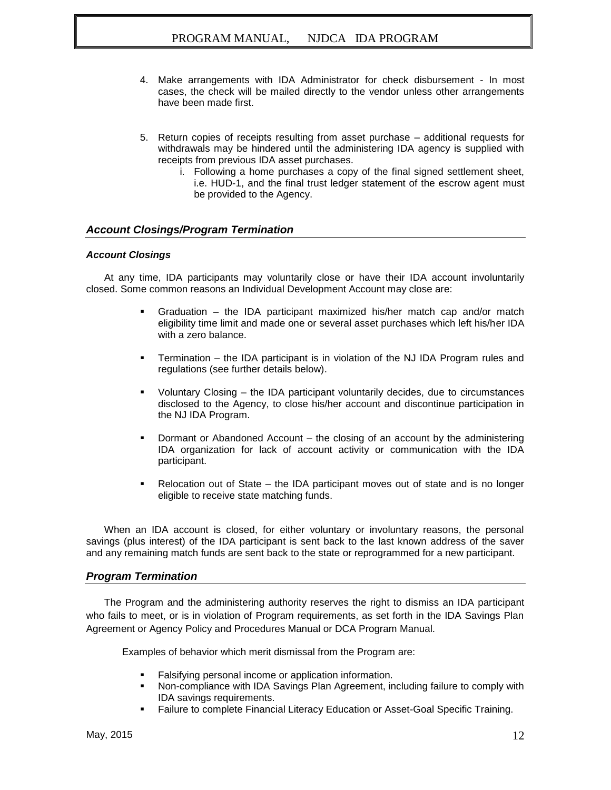- 4. Make arrangements with IDA Administrator for check disbursement In most cases, the check will be mailed directly to the vendor unless other arrangements have been made first.
- 5. Return copies of receipts resulting from asset purchase additional requests for withdrawals may be hindered until the administering IDA agency is supplied with receipts from previous IDA asset purchases.
	- i. Following a home purchases a copy of the final signed settlement sheet, i.e. HUD-1, and the final trust ledger statement of the escrow agent must be provided to the Agency.

#### *Account Closings/Program Termination*

#### *Account Closings*

At any time, IDA participants may voluntarily close or have their IDA account involuntarily closed. Some common reasons an Individual Development Account may close are:

- Graduation the IDA participant maximized his/her match cap and/or match eligibility time limit and made one or several asset purchases which left his/her IDA with a zero balance.
- Termination the IDA participant is in violation of the NJ IDA Program rules and regulations (see further details below).
- Voluntary Closing the IDA participant voluntarily decides, due to circumstances disclosed to the Agency, to close his/her account and discontinue participation in the NJ IDA Program.
- Dormant or Abandoned Account the closing of an account by the administering IDA organization for lack of account activity or communication with the IDA participant.
- Relocation out of State the IDA participant moves out of state and is no longer eligible to receive state matching funds.

When an IDA account is closed, for either voluntary or involuntary reasons, the personal savings (plus interest) of the IDA participant is sent back to the last known address of the saver and any remaining match funds are sent back to the state or reprogrammed for a new participant.

#### *Program Termination*

The Program and the administering authority reserves the right to dismiss an IDA participant who fails to meet, or is in violation of Program requirements, as set forth in the IDA Savings Plan Agreement or Agency Policy and Procedures Manual or DCA Program Manual.

Examples of behavior which merit dismissal from the Program are:

- Falsifying personal income or application information.
- Non-compliance with IDA Savings Plan Agreement, including failure to comply with IDA savings requirements.
- Failure to complete Financial Literacy Education or Asset-Goal Specific Training.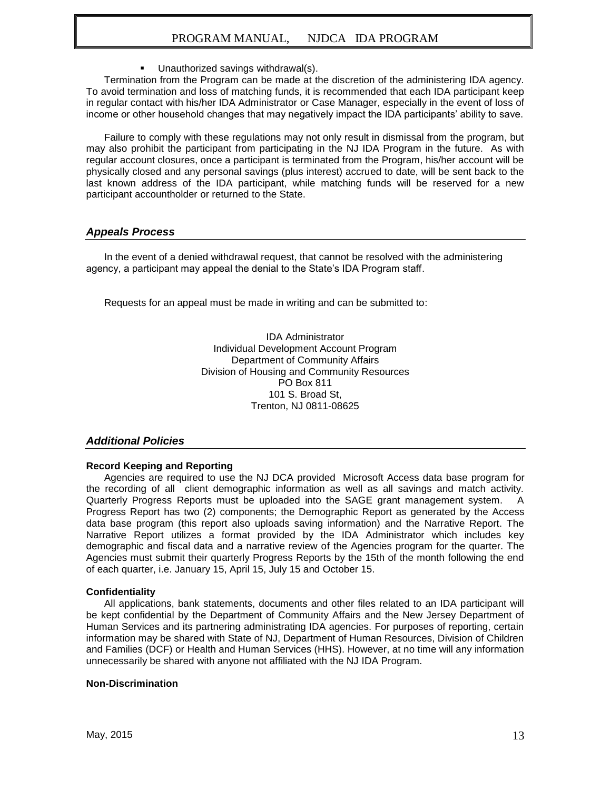Unauthorized savings withdrawal(s).

Termination from the Program can be made at the discretion of the administering IDA agency. To avoid termination and loss of matching funds, it is recommended that each IDA participant keep in regular contact with his/her IDA Administrator or Case Manager, especially in the event of loss of income or other household changes that may negatively impact the IDA participants' ability to save.

Failure to comply with these regulations may not only result in dismissal from the program, but may also prohibit the participant from participating in the NJ IDA Program in the future. As with regular account closures, once a participant is terminated from the Program, his/her account will be physically closed and any personal savings (plus interest) accrued to date, will be sent back to the last known address of the IDA participant, while matching funds will be reserved for a new participant accountholder or returned to the State.

#### *Appeals Process*

In the event of a denied withdrawal request, that cannot be resolved with the administering agency, a participant may appeal the denial to the State's IDA Program staff.

Requests for an appeal must be made in writing and can be submitted to:

IDA Administrator Individual Development Account Program Department of Community Affairs Division of Housing and Community Resources PO Box 811 101 S. Broad St, Trenton, NJ 0811-08625

#### *Additional Policies*

#### **Record Keeping and Reporting**

Agencies are required to use the NJ DCA provided Microsoft Access data base program for the recording of all client demographic information as well as all savings and match activity. Quarterly Progress Reports must be uploaded into the SAGE grant management system. A Progress Report has two (2) components; the Demographic Report as generated by the Access data base program (this report also uploads saving information) and the Narrative Report. The Narrative Report utilizes a format provided by the IDA Administrator which includes key demographic and fiscal data and a narrative review of the Agencies program for the quarter. The Agencies must submit their quarterly Progress Reports by the 15th of the month following the end of each quarter, i.e. January 15, April 15, July 15 and October 15.

#### **Confidentiality**

All applications, bank statements, documents and other files related to an IDA participant will be kept confidential by the Department of Community Affairs and the New Jersey Department of Human Services and its partnering administrating IDA agencies. For purposes of reporting, certain information may be shared with State of NJ, Department of Human Resources, Division of Children and Families (DCF) or Health and Human Services (HHS). However, at no time will any information unnecessarily be shared with anyone not affiliated with the NJ IDA Program.

#### **Non-Discrimination**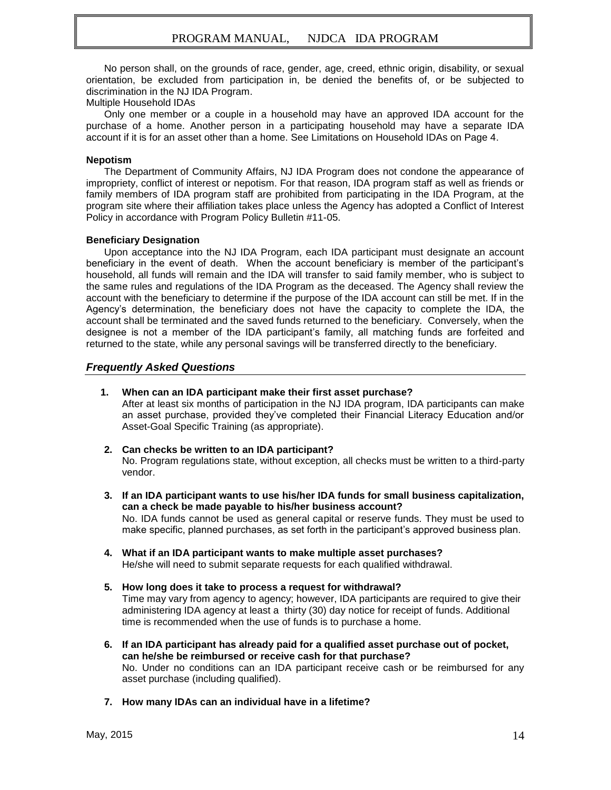No person shall, on the grounds of race, gender, age, creed, ethnic origin, disability, or sexual orientation, be excluded from participation in, be denied the benefits of, or be subjected to discrimination in the NJ IDA Program.

Multiple Household IDAs

Only one member or a couple in a household may have an approved IDA account for the purchase of a home. Another person in a participating household may have a separate IDA account if it is for an asset other than a home. See Limitations on Household IDAs on Page 4.

#### **Nepotism**

The Department of Community Affairs, NJ IDA Program does not condone the appearance of impropriety, conflict of interest or nepotism. For that reason, IDA program staff as well as friends or family members of IDA program staff are prohibited from participating in the IDA Program, at the program site where their affiliation takes place unless the Agency has adopted a Conflict of Interest Policy in accordance with Program Policy Bulletin #11-05.

#### **Beneficiary Designation**

Upon acceptance into the NJ IDA Program, each IDA participant must designate an account beneficiary in the event of death. When the account beneficiary is member of the participant's household, all funds will remain and the IDA will transfer to said family member, who is subject to the same rules and regulations of the IDA Program as the deceased. The Agency shall review the account with the beneficiary to determine if the purpose of the IDA account can still be met. If in the Agency's determination, the beneficiary does not have the capacity to complete the IDA, the account shall be terminated and the saved funds returned to the beneficiary. Conversely, when the designee is not a member of the IDA participant's family, all matching funds are forfeited and returned to the state, while any personal savings will be transferred directly to the beneficiary.

#### *Frequently Asked Questions*

#### **1. When can an IDA participant make their first asset purchase?**

After at least six months of participation in the NJ IDA program, IDA participants can make an asset purchase, provided they've completed their Financial Literacy Education and/or Asset-Goal Specific Training (as appropriate).

- **2. Can checks be written to an IDA participant?** No. Program regulations state, without exception, all checks must be written to a third-party vendor.
- **3. If an IDA participant wants to use his/her IDA funds for small business capitalization, can a check be made payable to his/her business account?** No. IDA funds cannot be used as general capital or reserve funds. They must be used to make specific, planned purchases, as set forth in the participant's approved business plan.
- **4. What if an IDA participant wants to make multiple asset purchases?** He/she will need to submit separate requests for each qualified withdrawal.
- **5. How long does it take to process a request for withdrawal?** Time may vary from agency to agency; however, IDA participants are required to give their administering IDA agency at least a thirty (30) day notice for receipt of funds. Additional time is recommended when the use of funds is to purchase a home.
- **6. If an IDA participant has already paid for a qualified asset purchase out of pocket, can he/she be reimbursed or receive cash for that purchase?** No. Under no conditions can an IDA participant receive cash or be reimbursed for any asset purchase (including qualified).
- **7. How many IDAs can an individual have in a lifetime?**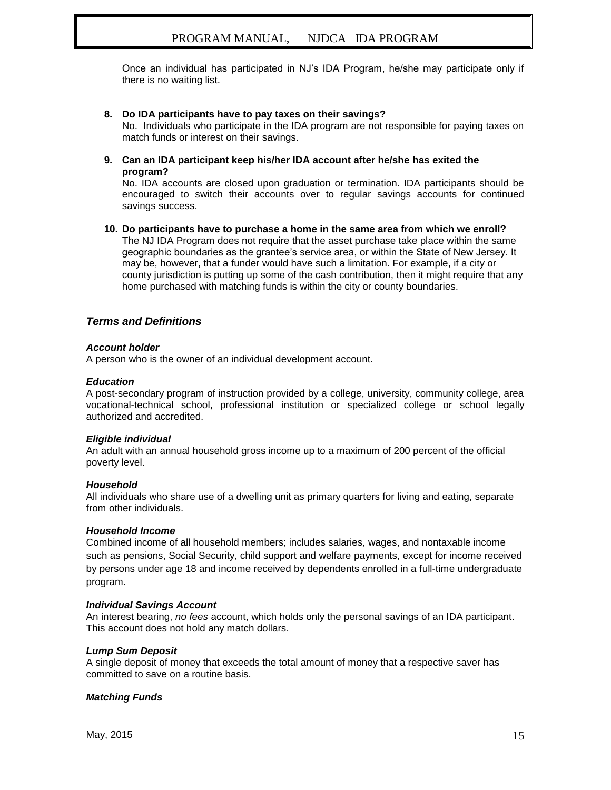Once an individual has participated in NJ's IDA Program, he/she may participate only if there is no waiting list.

#### **8. Do IDA participants have to pay taxes on their savings?**

No. Individuals who participate in the IDA program are not responsible for paying taxes on match funds or interest on their savings.

**9. Can an IDA participant keep his/her IDA account after he/she has exited the program?**

No. IDA accounts are closed upon graduation or termination. IDA participants should be encouraged to switch their accounts over to regular savings accounts for continued savings success.

**10. Do participants have to purchase a home in the same area from which we enroll?** The NJ IDA Program does not require that the asset purchase take place within the same geographic boundaries as the grantee's service area, or within the State of New Jersey. It may be, however, that a funder would have such a limitation. For example, if a city or county jurisdiction is putting up some of the cash contribution, then it might require that any home purchased with matching funds is within the city or county boundaries.

#### *Terms and Definitions*

#### *Account holder*

A person who is the owner of an individual development account.

#### *Education*

A post-secondary program of instruction provided by a college, university, community college, area vocational-technical school, professional institution or specialized college or school legally authorized and accredited.

#### *Eligible individual*

An adult with an annual household gross income up to a maximum of 200 percent of the official poverty level.

#### *Household*

All individuals who share use of a dwelling unit as primary quarters for living and eating, separate from other individuals.

#### *Household Income*

Combined income of all household members; includes salaries, wages, and nontaxable income such as pensions, Social Security, child support and welfare payments, except for income received by persons under age 18 and income received by dependents enrolled in a full-time undergraduate program.

#### *Individual Savings Account*

An interest bearing, *no fees* account, which holds only the personal savings of an IDA participant. This account does not hold any match dollars.

#### *Lump Sum Deposit*

A single deposit of money that exceeds the total amount of money that a respective saver has committed to save on a routine basis.

#### *Matching Funds*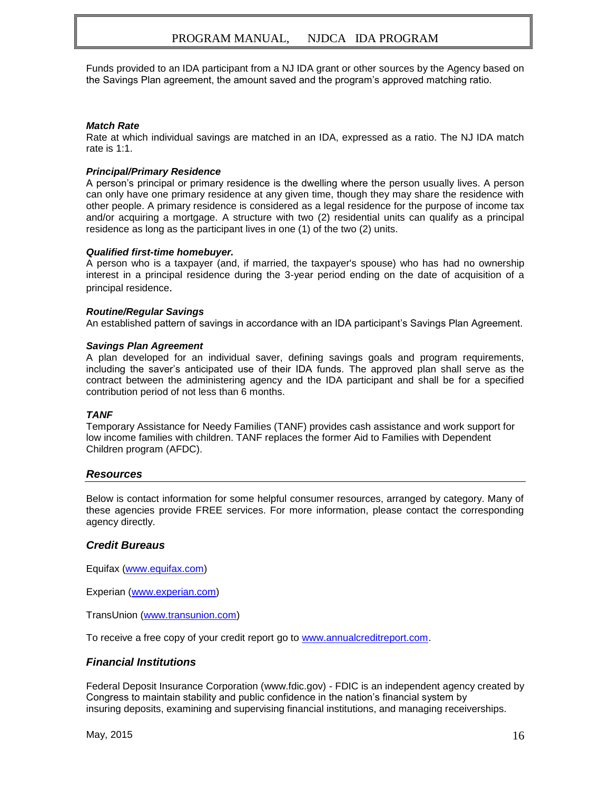Funds provided to an IDA participant from a NJ IDA grant or other sources by the Agency based on the Savings Plan agreement, the amount saved and the program's approved matching ratio.

#### *Match Rate*

Rate at which individual savings are matched in an IDA, expressed as a ratio. The NJ IDA match rate is 1:1.

#### *Principal/Primary Residence*

A person's principal or primary residence is the dwelling where the person usually lives. A person can only have one primary residence at any given time, though they may share the residence with other people. A primary residence is considered as a legal residence for the purpose of income tax and/or acquiring a mortgage. A structure with two (2) residential units can qualify as a principal residence as long as the participant lives in one (1) of the two (2) units.

#### *Qualified first-time homebuyer.*

A person who is a taxpayer (and, if married, the taxpayer's spouse) who has had no ownership interest in a principal residence during the 3-year period ending on the date of acquisition of a principal residence.

#### *Routine/Regular Savings*

An established pattern of savings in accordance with an IDA participant's Savings Plan Agreement.

#### *Savings Plan Agreement*

A plan developed for an individual saver, defining savings goals and program requirements, including the saver's anticipated use of their IDA funds. The approved plan shall serve as the contract between the administering agency and the IDA participant and shall be for a specified contribution period of not less than 6 months.

#### *TANF*

Temporary Assistance for Needy Families (TANF) provides cash assistance and work support for low income families with children. TANF replaces the former Aid to Families with Dependent Children program (AFDC).

#### *Resources*

Below is contact information for some helpful consumer resources, arranged by category. Many of these agencies provide FREE services. For more information, please contact the corresponding agency directly.

#### *Credit Bureaus*

Equifax [\(www.equifax.com\)](http://www.equifax.com/)

Experian [\(www.experian.com\)](http://www.experian.com/)

TransUnion [\(www.transunion.com\)](http://www.transunion.com/)

To receive a free copy of your credit report go to [www.annualcreditreport.com.](http://www.annualcreditreport.com/)

#### *Financial Institutions*

Federal Deposit Insurance Corporation (www.fdic.gov) - FDIC is an independent agency created by Congress to maintain stability and public confidence in the nation's financial system by insuring deposits, examining and supervising financial institutions, and managing receiverships.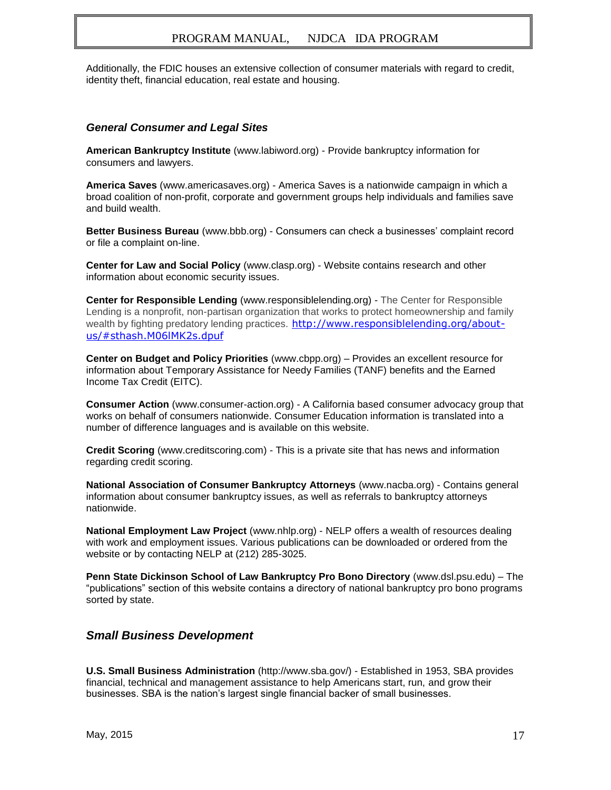Additionally, the FDIC houses an extensive collection of consumer materials with regard to credit, identity theft, financial education, real estate and housing.

#### *General Consumer and Legal Sites*

**American Bankruptcy Institute** (www.labiword.org) - Provide bankruptcy information for consumers and lawyers.

**America Saves** (www.americasaves.org) - America Saves is a nationwide campaign in which a broad coalition of non-profit, corporate and government groups help individuals and families save and build wealth.

**Better Business Bureau** (www.bbb.org) - Consumers can check a businesses' complaint record or file a complaint on-line.

**Center for Law and Social Policy** (www.clasp.org) - Website contains research and other information about economic security issues.

**Center for Responsible Lending** (www.responsiblelending.org) - The Center for Responsible Lending is a nonprofit, non-partisan organization that works to protect homeownership and family wealth by fighting predatory lending practices. [http://www.responsiblelending.org/about](http://www.responsiblelending.org/about-us/#sthash.M06lMK2s.dpuf)[us/#sthash.M06lMK2s.dpuf](http://www.responsiblelending.org/about-us/#sthash.M06lMK2s.dpuf)

**Center on Budget and Policy Priorities** (www.cbpp.org) – Provides an excellent resource for information about Temporary Assistance for Needy Families (TANF) benefits and the Earned Income Tax Credit (EITC).

**Consumer Action** (www.consumer-action.org) - A California based consumer advocacy group that works on behalf of consumers nationwide. Consumer Education information is translated into a number of difference languages and is available on this website.

**Credit Scoring** (www.creditscoring.com) - This is a private site that has news and information regarding credit scoring.

**National Association of Consumer Bankruptcy Attorneys** (www.nacba.org) - Contains general information about consumer bankruptcy issues, as well as referrals to bankruptcy attorneys nationwide.

**National Employment Law Project** (www.nhlp.org) - NELP offers a wealth of resources dealing with work and employment issues. Various publications can be downloaded or ordered from the website or by contacting NELP at (212) 285-3025.

**Penn State Dickinson School of Law Bankruptcy Pro Bono Directory** (www.dsl.psu.edu) – The "publications" section of this website contains a directory of national bankruptcy pro bono programs sorted by state.

#### *Small Business Development*

**U.S. Small Business Administration** (http://www.sba.gov/) - Established in 1953, SBA provides financial, technical and management assistance to help Americans start, run, and grow their businesses. SBA is the nation's largest single financial backer of small businesses.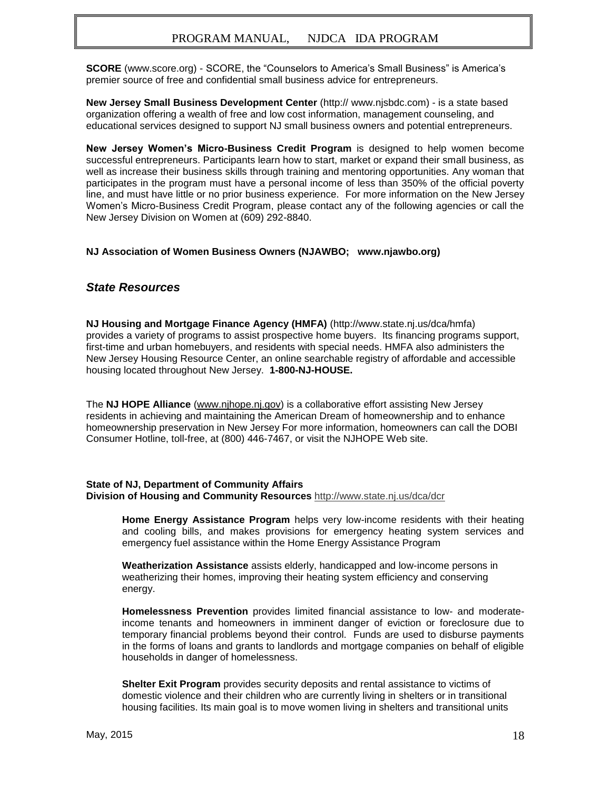**SCORE** (www.score.org) - SCORE, the "Counselors to America's Small Business" is America's premier source of free and confidential small business advice for entrepreneurs.

**New Jersey Small Business Development Center** (http:// www.njsbdc.com) - is a state based organization offering a wealth of free and low cost information, management counseling, and educational services designed to support NJ small business owners and potential entrepreneurs.

**New Jersey Women's Micro-Business Credit Program** is designed to help women become successful entrepreneurs. Participants learn how to start, market or expand their small business, as well as increase their business skills through training and mentoring opportunities. Any woman that participates in the program must have a personal income of less than 350% of the official poverty line, and must have little or no prior business experience. For more information on the New Jersey Women's Micro-Business Credit Program, please contact any of the following agencies or call the New Jersey Division on Women at (609) 292-8840.

#### **NJ Association of Women Business Owners (NJAWBO; www.njawbo.org)**

#### *State Resources*

**[NJ Housing and Mortgage Finance Agency \(HMFA\)](file:///C:/Users/dfunaro/AppData/private/DFunaro/IDA%20Roundtables/NJ%20Housing%20and%20Mortgage%20Finance%20Agency%20(HMFA))** (http://www.state.nj.us/dca/hmfa) provides a variety of programs to assist prospective home buyers. Its financing programs support, first-time and urban homebuyers, and residents with special needs. HMFA also administers the New Jersey Housing Resource Center, an online searchable registry of affordable and accessible housing located throughout New Jersey. **1-800-NJ-HOUSE.**

The **NJ HOPE Alliance** [\(www.njhope.nj.gov\)](http://www.njhope.nj.gov/) is a collaborative effort assisting New Jersey residents in achieving and maintaining the American Dream of homeownership and to enhance homeownership preservation in New Jersey For more information, homeowners can call the DOBI Consumer Hotline, toll-free, at (800) 446-7467, or visit the NJHOPE Web site.

#### **State of NJ, Department of Community Affairs Division of Housing and Community Resources** <http://www.state.nj.us/dca/dcr>

**Home Energy Assistance Program** helps very low-income residents with their heating and cooling bills, and makes provisions for emergency heating system services and emergency fuel assistance within the Home Energy Assistance Program

**Weatherization Assistance** assists elderly, handicapped and low-income persons in weatherizing their homes, improving their heating system efficiency and conserving energy.

**Homelessness Prevention** provides limited financial assistance to low- and moderateincome tenants and homeowners in imminent danger of eviction or foreclosure due to temporary financial problems beyond their control. Funds are used to disburse payments in the forms of loans and grants to landlords and mortgage companies on behalf of eligible households in danger of homelessness.

**Shelter Exit Program** provides security deposits and rental assistance to victims of domestic violence and their children who are currently living in shelters or in transitional housing facilities. Its main goal is to move women living in shelters and transitional units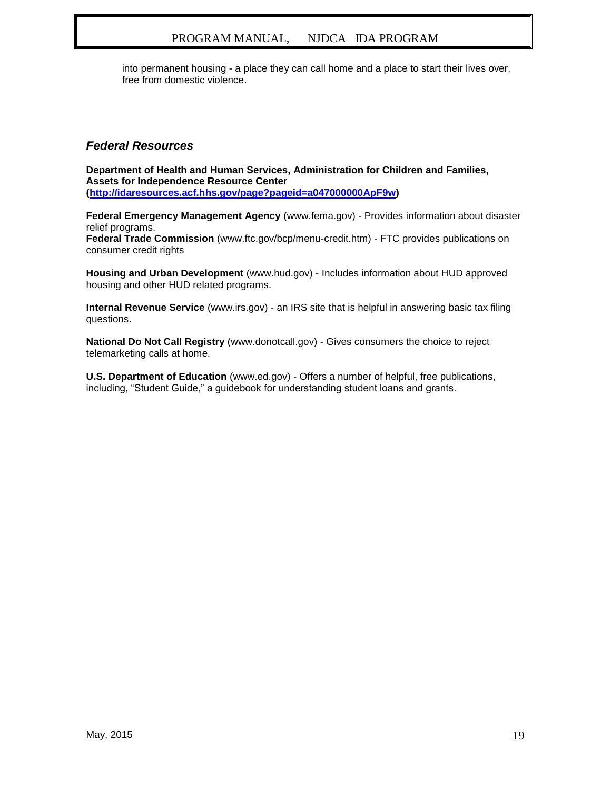into permanent housing - a place they can call home and a place to start their lives over, free from domestic violence.

#### *Federal Resources*

**Department of Health and Human Services, Administration for Children and Families, Assets for Independence Resource Center [\(http://idaresources.acf.hhs.gov/page?pageid=a047000000ApF9w\)](http://idaresources.acf.hhs.gov/page?pageid=a047000000ApF9w)**

**Federal Emergency Management Agency** (www.fema.gov) - Provides information about disaster relief programs.

**Federal Trade Commission** (www.ftc.gov/bcp/menu-credit.htm) - FTC provides publications on consumer credit rights

**Housing and Urban Development** (www.hud.gov) - Includes information about HUD approved housing and other HUD related programs.

**Internal Revenue Service** (www.irs.gov) - an IRS site that is helpful in answering basic tax filing questions.

**National Do Not Call Registry** (www.donotcall.gov) - Gives consumers the choice to reject telemarketing calls at home.

**U.S. Department of Education** (www.ed.gov) - Offers a number of helpful, free publications, including, "Student Guide," a guidebook for understanding student loans and grants.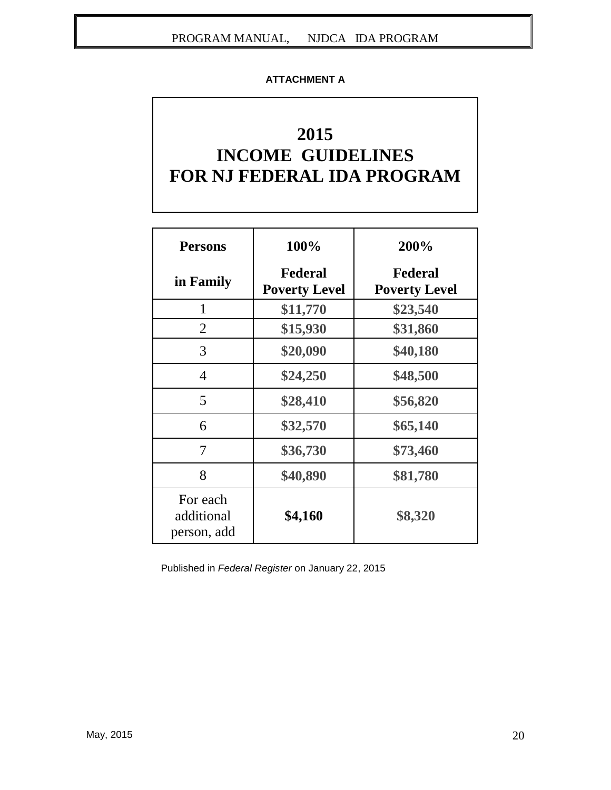#### **ATTACHMENT A**

## **2015 INCOME GUIDELINES FOR NJ FEDERAL IDA PROGRAM**

| <b>Persons</b>                        | 100%                                   | 200%                            |
|---------------------------------------|----------------------------------------|---------------------------------|
| in Family                             | <b>Federal</b><br><b>Poverty Level</b> | Federal<br><b>Poverty Level</b> |
| 1                                     | \$11,770                               | \$23,540                        |
| 2                                     | \$15,930                               | \$31,860                        |
| 3                                     | \$20,090                               | \$40,180                        |
| $\overline{4}$                        | \$24,250                               | \$48,500                        |
| 5                                     | \$28,410                               | \$56,820                        |
| 6                                     | \$32,570                               | \$65,140                        |
| 7                                     | \$36,730                               | \$73,460                        |
| 8                                     | \$40,890                               | \$81,780                        |
| For each<br>additional<br>person, add | \$4,160                                | \$8,320                         |

Published in *Federal Register* on January 22, 2015